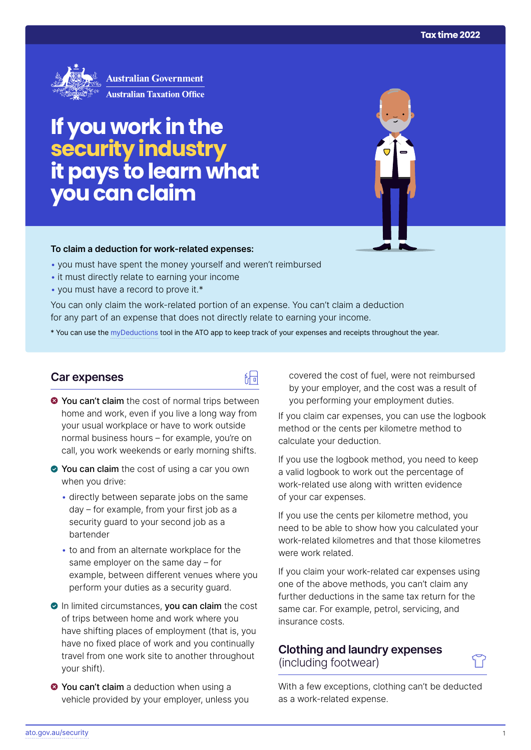

**Australian Government Australian Taxation Office** 

# **If you work in the security industry itpays to learn what you can claim**

#### **To claim a deduction for work‑related expenses:**

- you must have spent the money yourself and weren't reimbursed
- it must directly relate to earning your income
- you must have a record to prove it.\*

You can only claim the work-related portion of an expense. You can't claim a deduction for any part of an expense that does not directly relate to earning your income.

\* You can use the [myDeductions](https://ato.gov.au/mydeductions) tool in the ATO app to keep track of your expenses and receipts throughout the year.

品

## **Car expenses**

- $\bullet$  You can't claim the cost of normal trips between home and work, even if you live a long way from your usual workplace or have to work outside normal business hours – for example, you're on call, you work weekends or early morning shifts.
- ◆ You can claim the cost of using a car you own when you drive:
	- directly between separate jobs on the same day – for example, from your first job as a security guard to your second job as a bartender
	- to and from an alternate workplace for the same employer on the same day – for example, between different venues where you perform your duties as a security guard.
- In limited circumstances, you can claim the cost of trips between home and work where you have shifting places of employment (that is, you have no fixed place of work and you continually travel from one work site to another throughout your shift).
- **8 You can't claim** a deduction when using a vehicle provided by your employer, unless you

covered the cost of fuel, were not reimbursed by your employer, and the cost was a result of you performing your employment duties.

If you claim car expenses, you can use the logbook method or the cents per kilometre method to calculate your deduction.

If you use the logbook method, you need to keep a valid logbook to work out the percentage of work-related use along with written evidence of your car expenses.

If you use the cents per kilometre method, you need to be able to show how you calculated your work-related kilometres and that those kilometres were work related.

If you claim your work-related car expenses using one of the above methods, you can't claim any further deductions in the same tax return for the same car. For example, petrol, servicing, and insurance costs.

# **Clothing and laundry expenses**  (including footwear)

With a few exceptions, clothing can't be deducted as a work-related expense.